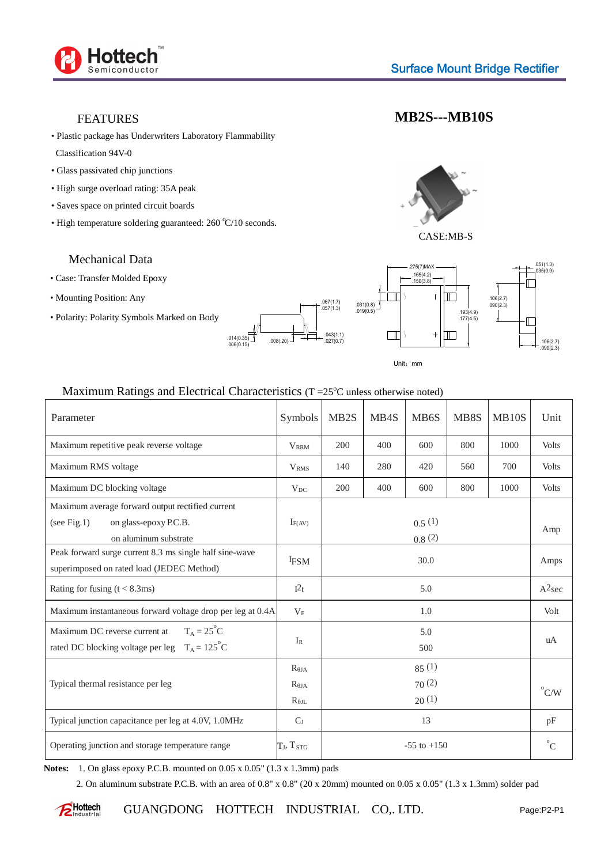

## FEATURES

• Plastic package has Underwriters Laboratory Flammability

Classification 94V-0

- Glass passivated chip junctions
- High surge overload rating: 35A peak
- Saves space on printed circuit boards
- High temperature soldering guaranteed:  $260 \degree C/10$  seconds.

## Mechanical Data

- Case: Transfer Molded Epoxy
- Mounting Position: Any
- Polarity: Polarity Symbols Marked on Body





**MB2S---MB10S**

CASE:MB-S

lπ

 $\blacksquare$  $\overline{+}$ 

 $\mathbf{L}$ 

.193(4.9)<br>.177(4.5)

.275(7)MAX



## Maximum Ratings and Electrical Characteristics ( $T = 25^{\circ}$ C unless otherwise noted)

| Parameter                                                  | Symbols                 | MB <sub>2</sub> S | MB4S | MB <sub>6</sub> S | MB8S | <b>MB10S</b> | Unit           |
|------------------------------------------------------------|-------------------------|-------------------|------|-------------------|------|--------------|----------------|
| Maximum repetitive peak reverse voltage                    | $V_{RRM}$               | 200               | 400  | 600               | 800  | 1000         | <b>Volts</b>   |
| Maximum RMS voltage                                        | <b>V</b> <sub>RMS</sub> | 140               | 280  | 420               | 560  | 700          | <b>Volts</b>   |
| Maximum DC blocking voltage                                | $V_{DC}$                | 200               | 400  | 600               | 800  | 1000         | <b>Volts</b>   |
| Maximum average forward output rectified current           |                         |                   |      |                   |      |              |                |
| on glass-epoxy P.C.B.<br>(see Fig.1)                       | $I_{F(AV)}$             | 0.5(1)            |      |                   |      |              | Amp            |
| on aluminum substrate                                      | 0.8(2)                  |                   |      |                   |      |              |                |
| Peak forward surge current 8.3 ms single half sine-wave    | <b>IFSM</b>             |                   | 30.0 |                   |      |              | Amps           |
| superimposed on rated load (JEDEC Method)                  |                         |                   |      |                   |      |              |                |
| Rating for fusing $(t < 8.3 \text{ms})$                    | $I^2t$                  | 5.0               |      |                   |      |              | $A^2$ sec      |
| Maximum instantaneous forward voltage drop per leg at 0.4A | $V_F$                   | 1.0               |      |                   |      |              | Volt           |
| $T_A = 25^{\circ}C$<br>Maximum DC reverse current at       |                         | 5.0               |      |                   |      |              |                |
| rated DC blocking voltage per leg $T_A = 125^{\circ}C$     | $I_{R}$<br>500          |                   |      |                   |      | uA           |                |
| Typical thermal resistance per leg                         | $R_{JA}$                | 85(1)             |      |                   |      |              |                |
|                                                            | $R_{IA}$                | 70(2)<br>20(1)    |      |                   |      |              | $^{\circ}$ C/W |
|                                                            | $R_{JL}$                |                   |      |                   |      |              |                |
| Typical junction capacitance per leg at 4.0V, 1.0MHz       | $C_{J}$                 | 13                |      |                   |      |              | pF             |
| Operating junction and storage temperature range           | $T_J$ , $T_{STG}$       | $-55$ to $+150$   |      |                   |      |              | $^{\circ}C$    |

**Notes:** 1. On glass epoxy P.C.B. mounted on 0.05 x 0.05" (1.3 x 1.3mm) pads

2. On aluminum substrate P.C.B. with an area of 0.8" x 0.8" (20 x 20mm) mounted on 0.05 x 0.05" (1.3 x 1.3mm) solder pad